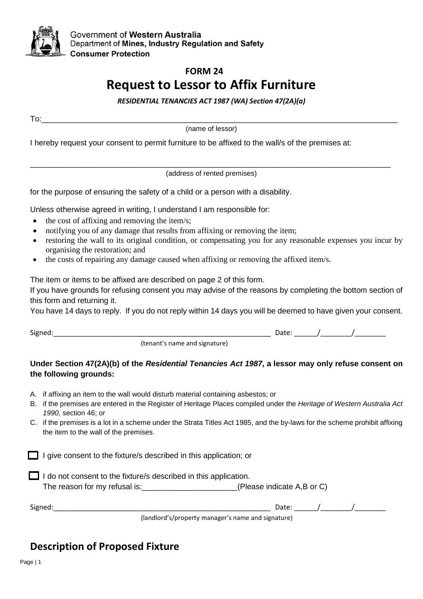

# **FORM 24 Request to Lessor to Affix Furniture**

*RESIDENTIAL TENANCIES ACT 1987 (WA) Section 47(2A)(a)*

To:\_\_\_\_\_\_\_\_\_\_\_\_\_\_\_\_\_\_\_\_\_\_\_\_\_\_\_\_\_\_\_\_\_\_\_\_\_\_\_\_\_\_\_\_\_\_\_\_\_\_\_\_\_\_\_\_\_\_\_\_\_\_\_\_\_\_\_\_\_\_\_\_\_\_\_\_\_\_\_\_\_\_

(name of lessor)

I hereby request your consent to permit furniture to be affixed to the wall/s of the premises at:

\_\_\_\_\_\_\_\_\_\_\_\_\_\_\_\_\_\_\_\_\_\_\_\_\_\_\_\_\_\_\_\_\_\_\_\_\_\_\_\_\_\_\_\_\_\_\_\_\_\_\_\_\_\_\_\_\_\_\_\_\_\_\_\_\_\_\_\_\_\_\_\_\_\_\_\_\_\_\_\_\_\_\_ (address of rented premises)

for the purpose of ensuring the safety of a child or a person with a disability.

Unless otherwise agreed in writing, I understand I am responsible for:

- the cost of affixing and removing the item/s;
- notifying you of any damage that results from affixing or removing the item;
- restoring the wall to its original condition, or compensating you for any reasonable expenses you incur by organising the restoration; and
- the costs of repairing any damage caused when affixing or removing the affixed item/s.

The item or items to be affixed are described on page 2 of this form.

If you have grounds for refusing consent you may advise of the reasons by completing the bottom section of this form and returning it.

You have 14 days to reply. If you do not reply within 14 days you will be deemed to have given your consent.

 $Signed:$ 

(tenant's name and signature)

## **Under Section 47(2A)(b) of the** *Residential Tenancies Act 1987***, a lessor may only refuse consent on the following grounds:**

- A. if affixing an item to the wall would disturb material containing asbestos; or
- B. if the premises are entered in the Register of Heritage Places compiled under the *Heritage of Western Australia Act 1990,* section 46; or
- C. if the premises is a lot in a scheme under the Strata Titles Act 1985, and the by-laws for the scheme prohibit affixing the item to the wall of the premises.

 $\Box$  I give consent to the fixture/s described in this application; or

| $\Box$ I do not consent to the fixture/s described in this application. |                                 |  |  |  |  |
|-------------------------------------------------------------------------|---------------------------------|--|--|--|--|
| The reason for my refusal is:                                           | (Please indicate $A,B$ or $C$ ) |  |  |  |  |

| $\ddot{\phantom{1}}$<br>signes.<br>- - - |                                 | $   -$ |  |
|------------------------------------------|---------------------------------|--------|--|
|                                          | the contract of the contract of |        |  |

(landlord's/property manager's name and signature)

## **Description of Proposed Fixture**